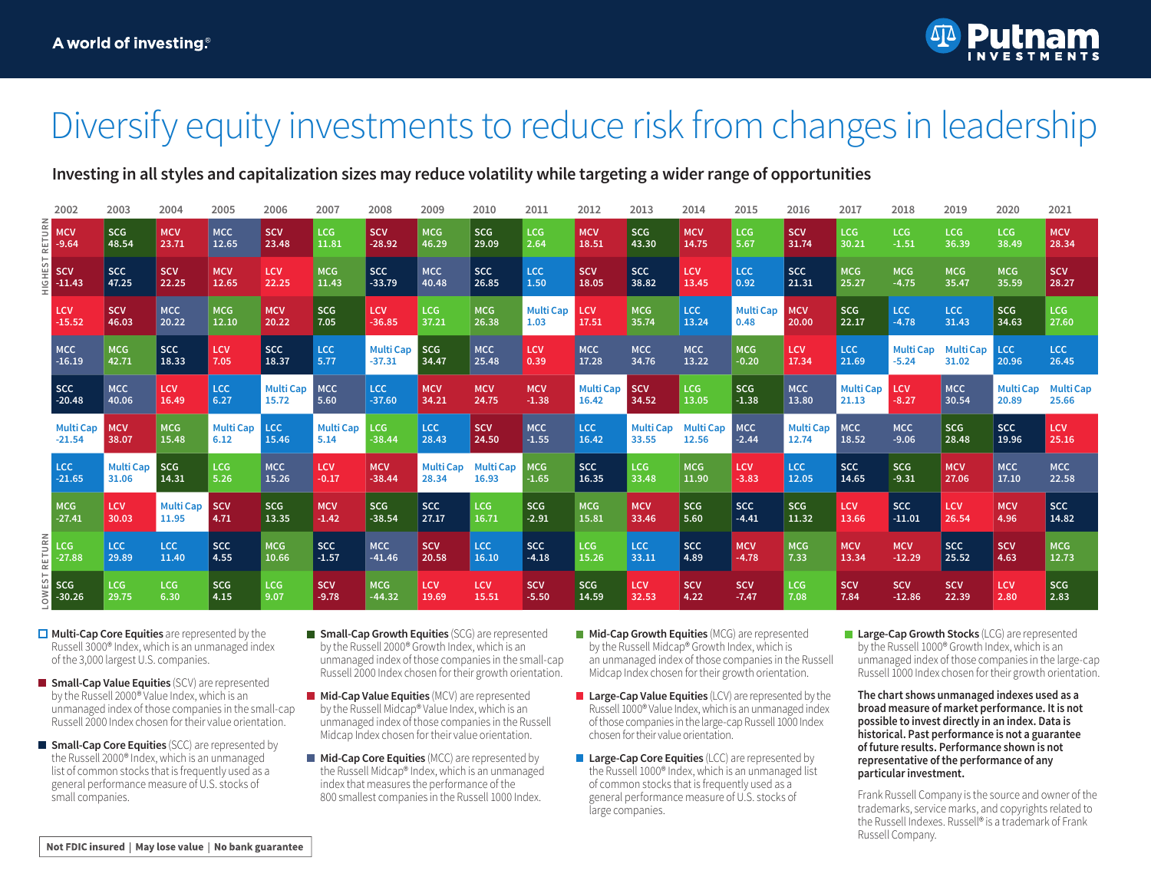

## Diversify equity investments to reduce risk from changes in leadership

### **Investing in all styles and capitalization sizes may reduce volatility while targeting a wider range of opportunities**

|  | 2002                         | 2003                      | 2004                      | 2005                     | 2006                      | 2007                     | 2008                         | 2009                      | 2010                      | 2011                     | 2012                      | 2013                      | 2014                      | 2015                     | 2016                      | 2017                      | 2018                        | 2019                      | 2020                | 2021                     |
|--|------------------------------|---------------------------|---------------------------|--------------------------|---------------------------|--------------------------|------------------------------|---------------------------|---------------------------|--------------------------|---------------------------|---------------------------|---------------------------|--------------------------|---------------------------|---------------------------|-----------------------------|---------------------------|---------------------|--------------------------|
|  | $\frac{3}{2}$ MCV<br>$-9.64$ | <b>SCG</b><br>48.54       | <b>MCV</b><br>23.71       | <b>MCC</b><br>12.65      | <b>SCV</b><br>23.48       | LCG<br>11.81             | <b>SCV</b><br>$-28.92$       | <b>MCG</b><br>46.29       | <b>SCG</b><br>29.09       | <b>LCG</b><br>2.64       | <b>MCV</b><br>18.51       | <b>SCG</b><br>43.30       | <b>MCV</b><br>14.75       | <b>LCG</b><br>5.67       | <b>SCV</b><br>31.74       | LCG<br>30.21              | LCG<br>$-1.51$              | LCG<br>36.39              | LCG<br>38.49        | <b>MCV</b><br>28.34      |
|  | <b>SCV</b><br>$-11.43$       | <b>SCC</b><br>47.25       | <b>SCV</b><br>22.25       | <b>MCV</b><br>12.65      | LCV<br>22.25              | <b>MCG</b><br>11.43      | <b>SCC</b><br>$-33.79$       | <b>MCC</b><br>40.48       | <b>SCC</b><br>26.85       | <b>LCC</b><br>1.50       | <b>SCV</b><br>18.05       | <b>SCC</b><br>38.82       | LCV<br>13.45              | LCC<br>0.92              | <b>SCC</b><br>21.31       | <b>MCG</b><br>25.27       | <b>MCG</b><br>$-4.75$       | <b>MCG</b><br>35.47       | <b>MCG</b><br>35.59 | <b>SCV</b><br>28.27      |
|  | <b>LCV</b><br>$-15.52$       | <b>SCV</b><br>46.03       | <b>MCC</b><br>20.22       | <b>MCG</b><br>12.10      | <b>MCV</b><br>20.22       | <b>SCG</b><br>7.05       | LCV<br>$-36.85$              | LCG<br>37.21              | <b>MCG</b><br>26.38       | <b>Multi Cap</b><br>1.03 | <b>LCV</b><br>17.51       | <b>MCG</b><br>35.74       | <b>LCC</b><br>13.24       | <b>Multi Cap</b><br>0.48 | <b>MCV</b><br>20.00       | <b>SCG</b><br>22.17       | LCC<br>$-4.78$              | LCC.<br>31.43             | <b>SCG</b><br>34.63 | LCG<br>27.60             |
|  | <b>MCC</b><br>$-16.19$       | <b>MCG</b><br>42.71       | <b>SCC</b><br>18.33       | LCV<br>7.05              | <b>SCC</b><br>18.37       | LCC<br>5.77              | <b>Multi Cap</b><br>$-37.31$ | <b>SCG</b><br>34.47       | <b>MCC</b><br>25.48       | <b>LCV</b><br>0.39       | <b>MCC</b><br>17.28       | <b>MCC</b><br>34.76       | <b>MCC</b><br>13.22       | <b>MCG</b><br>$-0.20$    | <b>LCV</b><br>17.34       | LCC<br>21.69              | <b>Multi Cap</b><br>$-5.24$ | <b>Multi Cap</b><br>31.02 | <b>LCC</b><br>20.96 | LCC<br>26.45             |
|  | SCC<br>$-20.48$              | <b>MCC</b><br>40.06       | <b>LCV</b><br>16.49       | $1$ LCC<br>6.27          | <b>Multi Cap</b><br>15.72 | <b>MCC</b><br>5.60       | <b>LCC</b><br>$-37.60$       | <b>MCV</b><br>34.21       | <b>MCV</b><br>24.75       | <b>MCV</b><br>$-1.38$    | <b>Multi Cap</b><br>16.42 | <b>SCV</b><br>34.52       | LCG<br>13.05              | <b>SCG</b><br>$-1.38$    | <b>MCC</b><br>13.80       | <b>Multi Cap</b><br>21.13 | <b>LCV</b><br>$-8.27$       | <b>MCC</b><br>30.54       | Multi Cap<br>20.89  | <b>MultiCap</b><br>25.66 |
|  | <b>Multi Cap</b><br>$-21.54$ | <b>MCV</b><br>38.07       | <b>MCG</b><br>15.48       | <b>Multi Cap</b><br>6.12 | <b>LCC</b><br>15.46       | <b>Multi Cap</b><br>5.14 | <b>LCG</b><br>$-38.44$       | <b>LCC</b><br>28.43       | <b>SCV</b><br>24.50       | <b>MCC</b><br>$-1.55$    | <b>LCC</b><br>16.42       | <b>Multi Cap</b><br>33.55 | <b>Multi Cap</b><br>12.56 | <b>MCC</b><br>$-2.44$    | <b>Multi Cap</b><br>12.74 | <b>MCC</b><br>18.52       | <b>MCC</b><br>$-9.06$       | <b>SCG</b><br>28.48       | <b>SCC</b><br>19.96 | LCV<br>25.16             |
|  | LCC.<br>$-21.65$             | <b>Multi Cap</b><br>31.06 | <b>SCG</b><br>14.31       | <b>LCG</b><br>5.26       | <b>MCC</b><br>15.26       | <b>LCV</b><br>$-0.17$    | <b>MCV</b><br>$-38.44$       | <b>Multi Cap</b><br>28.34 | <b>Multi Cap</b><br>16.93 | MCG<br>$-1.65$           | <b>SCC</b><br>16.35       | LCG<br>33.48              | <b>MCG</b><br>11.90       | LCV<br>$-3.83$           | LCC<br>12.05              | <b>SCC</b><br>14.65       | <b>SCG</b><br>$-9.31$       | <b>MCV</b><br>27.06       | <b>MCC</b><br>17.10 | <b>MCC</b><br>22.58      |
|  | <b>MCG</b><br>$-27.41$       | <b>LCV</b><br>30.03       | <b>Multi Cap</b><br>11.95 | <b>SCV</b><br>4.71       | <b>SCG</b><br>13.35       | <b>MCV</b><br>$-1.42$    | <b>SCG</b><br>$-38.54$       | <b>SCC</b><br>27.17       | <b>LCG</b><br>16.71       | <b>SCG</b><br>$-2.91$    | <b>MCG</b><br>15.81       | <b>MCV</b><br>33.46       | <b>SCG</b><br>5.60        | <b>SCC</b><br>$-4.41$    | SCG<br>11.32              | LCV<br>13.66              | <b>SCC</b><br>$-11.01$      | <b>LCV</b><br>26.54       | <b>MCV</b><br>4.96  | <b>SCC</b><br>14.82      |
|  | $rac{2}{x}$ CG<br>$-27.88$   | <b>LCC</b><br>29.89       | LCC<br>11.40              | <b>SCC</b><br>4.55       | <b>MCG</b><br>10.66       | <b>SCC</b><br>$-1.57$    | <b>MCC</b><br>$-41.46$       | <b>SCV</b><br>20.58       | LCC<br>16.10              | <b>SCC</b><br>$-4.18$    | LCG<br>15.26              | <b>LCC</b><br>33.11       | <b>SCC</b><br>4.89        | <b>MCV</b><br>$-4.78$    | <b>MCG</b><br>7.33        | <b>MCV</b><br>13.34       | <b>MCV</b><br>$-12.29$      | SCC<br>25.52              | <b>SCV</b><br>4.63  | <b>MCG</b><br>12.73      |
|  | SCG<br>$-30.26$              | <b>LCG</b><br>29.75       | LCG<br>6.30               | <b>SCG</b><br>4.15       | LCG<br>9.07               | <b>SCV</b><br>$-9.78$    | <b>MCG</b><br>$-44.32$       | <b>LCV</b><br>19.69       | <b>LCV</b><br>15.51       | <b>SCV</b><br>$-5.50$    | <b>SCG</b><br>14.59       | <b>LCV</b><br>32.53       | <b>SCV</b><br>4.22        | <b>SCV</b><br>$-7.47$    | LCG<br>7.08               | <b>SCV</b><br>7.84        | <b>SCV</b><br>$-12.86$      | <b>SCV</b><br>22.39       | <b>LCV</b><br>2.80  | <b>SCG</b><br>2.83       |

- **□ Multi-Cap Core Equities** are represented by the Russell 3000® Index, which is an unmanaged index of the 3,000 largest U.S. companies.
- **Small-Cap Value Equities** (SCV) are represented by the Russell 2000® Value Index, which is an unmanaged index of those companies in the small-cap Russell 2000 Index chosen for their value orientation.
- **Small-Cap Core Equities** (SCC) are represented by the Russell 2000® Index, which is an unmanaged list of common stocks that is frequently used as a general performance measure of U.S. stocks of small companies.
- **Small-Cap Growth Equities** (SCG) are represented by the Russell 2000® Growth Index, which is an unmanaged index of those companies in the small-cap Russell 2000 Index chosen for their growth orientation.
- **Mid-Cap Value Equities** (MCV) are represented by the Russell Midcap® Value Index, which is an unmanaged index of those companies in the Russell Midcap Index chosen for their value orientation.
- **Mid-Cap Core Equities** (MCC) are represented by the Russell Midcap® Index, which is an unmanaged index that measures the performance of the 800 smallest companies in the Russell 1000 Index.
- **Mid-Cap Growth Equities** (MCG) are represented by the Russell Midcap® Growth Index, which is an unmanaged index of those companies in the Russell Midcap Index chosen for their growth orientation.
- **Large-Cap Value Equities** (LCV) are represented by the Russell 1000® Value Index, which is an unmanaged index of those companies in the large-cap Russell 1000 Index chosen for their value orientation.
- **Large-Cap Core Equities** (LCC) are represented by the Russell 1000® Index, which is an unmanaged list of common stocks that is frequently used as a general performance measure of U.S. stocks of large companies.
- **Large-Cap Growth Stocks** (LCG) are represented by the Russell 1000® Growth Index, which is an unmanaged index of those companies in the large-cap Russell 1000 Index chosen for their growth orientation.

**The chart shows unmanaged indexes used as a broad measure of market performance. It is not possible to invest directly in an index. Data is historical. Past performance is not a guarantee of future results. Performance shown is not representative of the performance of any particular investment.**

Frank Russell Company is the source and owner of the trademarks, service marks, and copyrights related to the Russell Indexes. Russell® is a trademark of Frank Russell Company.